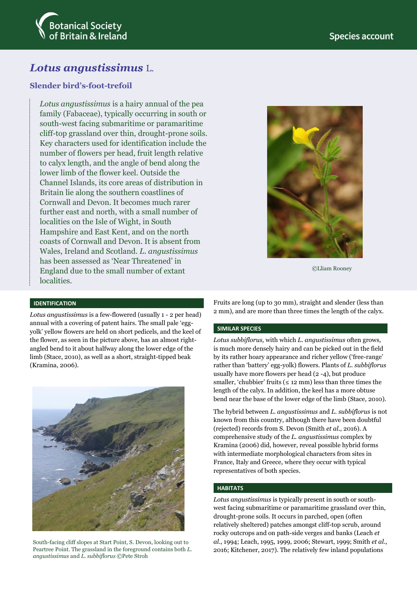

# *Lotus angustissimus* L.

# **Slender bird's-foot-trefoil**

*Lotus angustissimus* is a hairy annual of the pea family (Fabaceae), typically occurring in south or south-west facing submaritime or paramaritime cliff-top grassland over thin, drought-prone soils. Key characters used for identification include the number of flowers per head, fruit length relative to calyx length, and the angle of bend along the lower limb of the flower keel. Outside the Channel Islands, its core areas of distribution in Britain lie along the southern coastlines of Cornwall and Devon. It becomes much rarer further east and north, with a small number of localities on the Isle of Wight, in South Hampshire and East Kent, and on the north coasts of Cornwall and Devon. It is absent from Wales, Ireland and Scotland. *L. angustissimus* has been assessed as 'Near Threatened' in England due to the small number of extant localities.



©Lliam Rooney

### **IDENTIFICATION**

*Lotus angustissimus* is a few-flowered (usually 1 - 2 per head) annual with a covering of patent hairs. The small pale 'eggyolk' yellow flowers are held on short pedicels, and the keel of the flower, as seen in the picture above, has an almost rightangled bend to it about halfway along the lower edge of the limb (Stace, 2010), as well as a short, straight-tipped beak (Kramina, 2006).



South-facing cliff slopes at Start Point, S. Devon, looking out to Peartree Point. The grassland in the foreground contains both *L. angustissimus* and *L. subbiflorus* ©Pete Stroh

Fruits are long (up to 30 mm), straight and slender (less than 2 mm), and are more than three times the length of the calyx.

# **SIMILAR SPECIES**

*Lotus subbiflorus,* with which *L. angustissimus* often grows, is much more densely hairy and can be picked out in the field by its rather hoary appearance and richer yellow ('free-range' rather than 'battery' egg-yolk) flowers. Plants of *L. subbiflorus* usually have more flowers per head (2 -4), but produce smaller, 'chubbier' fruits ( $\leq 12$  mm) less than three times the length of the calyx. In addition, the keel has a more obtuse bend near the base of the lower edge of the limb (Stace, 2010).

The hybrid between *L. angustissimus* and *L. subbiflorus* is not known from this country, although there have been doubtful (rejected) records from S. Devon (Smith *et al.*, 2016). A comprehensive study of the *L. angustissimus* complex by Kramina (2006) did, however, reveal possible hybrid forms with intermediate morphological characters from sites in France, Italy and Greece, where they occur with typical representatives of both species.

#### **HABITATS**

*Lotus angustissimus* is typically present in south or southwest facing submaritime or paramaritime grassland over thin, drought-prone soils. It occurs in parched, open (often relatively sheltered) patches amongst cliff-top scrub, around rocky outcrops and on path-side verges and banks (Leach *et al.*, 1994; Leach, 1995, 1999, 2006; Stewart, 1999; Smith *et al*., 2016; Kitchener, 2017). The relatively few inland populations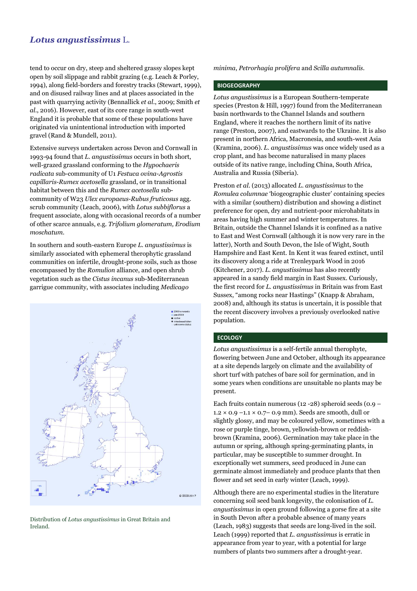# *Lotus angustissimus* L.

tend to occur on dry, steep and sheltered grassy slopes kept open by soil slippage and rabbit grazing (e.g. Leach & Porley, 1994), along field-borders and forestry tracks (Stewart, 1999), and on disused railway lines and at places associated in the past with quarrying activity (Bennallick *et al*., 2009; Smith *et al*., 2016). However, east of its core range in south-west England it is probable that some of these populations have originated via unintentional introduction with imported gravel (Rand & Mundell, 2011).

Extensive surveys undertaken across Devon and Cornwall in 1993-94 found that *L*. *angustissimus* occurs in both short, well-grazed grassland conforming to the *Hypochaeris radicata* sub-community of U1 *Festuca ovina-Agrostis capillaris-Rumex acetosella* grassland, or in transitional habitat between this and the *Rumex acetosella* subcommunity of W23 *Ulex europaeus-Rubus fruticosus* agg. scrub community (Leach, 2006), with *Lotus subbiflorus* a frequent associate, along with occasional records of a number of other scarce annuals, e.g. *Trifolium glomeratum, Erodium moschatum*.

In southern and south-eastern Europe *L. angustissimus* is similarly associated with ephemeral therophytic grassland communities on infertile, drought-prone soils, such as those encompassed by the *Romulion* alliance, and open shrub vegetation such as the *Cistus incanus* sub-Mediterranean garrigue community, with associates including *Medicago* 



Distribution of *Lotus angustissimus* in Great Britain and Ireland.

*minima*, *Petrorhagia prolifera* and *Scilla autumnalis*.

#### **BIOGEOGRAPHY**

*Lotus angustissimus* is a European Southern-temperate species (Preston & Hill, 1997) found from the Mediterranean basin northwards to the Channel Islands and southern England, where it reaches the northern limit of its native range (Preston, 2007), and eastwards to the Ukraine. It is also present in northern Africa, Macronesia, and south-west Asia (Kramina, 2006). *L. angustissimus* was once widely used as a crop plant, and has become naturalised in many places outside of its native range, including China, South Africa, Australia and Russia (Siberia).

Preston *et al*. (2013) allocated *L. angustissimus* to the *Romulea columnae* 'biogeographic cluster' containing species with a similar (southern) distribution and showing a distinct preference for open, dry and nutrient-poor microhabitats in areas having high summer and winter temperatures. In Britain, outside the Channel Islands it is confined as a native to East and West Cornwall (although it is now very rare in the latter), North and South Devon, the Isle of Wight, South Hampshire and East Kent. In Kent it was feared extinct, until its discovery along a ride at Trenleypark Wood in 2016 (Kitchener, 2017). *L. angustissimus* has also recently appeared in a sandy field margin in East Sussex. Curiously, the first record for *L. angustissimus* in Britain was from East Sussex, "among rocks near Hastings" (Knapp & Abraham, 2008) and, although its status is uncertain, it is possible that the recent discovery involves a previously overlooked native population.

#### **ECOLOGY**

*Lotus angustissimus* is a self-fertile annual therophyte, flowering between June and October, although its appearance at a site depends largely on climate and the availability of short turf with patches of bare soil for germination, and in some years when conditions are unsuitable no plants may be present.

Each fruits contain numerous (12 -28) spheroid seeds (0.9 –  $1.2 \times 0.9 - 1.1 \times 0.7 - 0.9$  mm). Seeds are smooth, dull or slightly glossy, and may be coloured yellow, sometimes with a rose or purple tinge, brown, yellowish-brown or reddishbrown (Kramina, 2006). Germination may take place in the autumn or spring, although spring-germinating plants, in particular, may be susceptible to summer drought. In exceptionally wet summers, seed produced in June can germinate almost immediately and produce plants that then flower and set seed in early winter (Leach, 1999).

Although there are no experimental studies in the literature concerning soil seed bank longevity, the colonisation of *L. angustissimus* in open ground following a gorse fire at a site in South Devon after a probable absence of many years (Leach, 1983) suggests that seeds are long-lived in the soil. Leach (1999) reported that *L. angustissimus* is erratic in appearance from year to year, with a potential for large numbers of plants two summers after a drought-year.